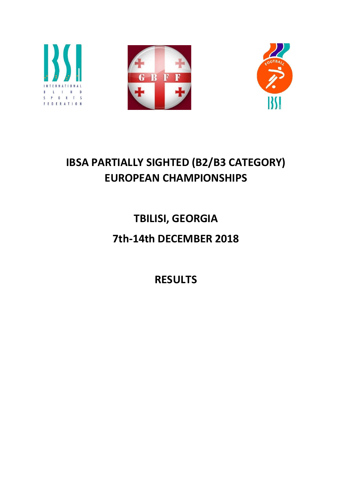





# IBSA PARTIALLY SIGHTED (B2/B3 CATEGORY) EUROPEAN CHAMPIONSHIPS

TBILISI, GEORGIA

# 7th-14th DECEMBER 2018

RESULTS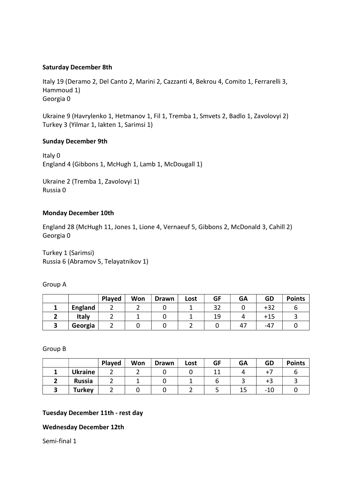#### Saturday December 8th

Italy 19 (Deramo 2, Del Canto 2, Marini 2, Cazzanti 4, Bekrou 4, Comito 1, Ferrarelli 3, Hammoud 1) Georgia 0

Ukraine 9 (Havrylenko 1, Hetmanov 1, Fil 1, Tremba 1, Smvets 2, Badlo 1, Zavolovyi 2) Turkey 3 (Yilmar 1, Iakten 1, Sarimsi 1)

#### Sunday December 9th

Italy 0 England 4 (Gibbons 1, McHugh 1, Lamb 1, McDougall 1)

Ukraine 2 (Tremba 1, Zavolovyi 1) Russia 0

#### Monday December 10th

England 28 (McHugh 11, Jones 1, Lione 4, Vernaeuf 5, Gibbons 2, McDonald 3, Cahill 2) Georgia 0

Turkey 1 (Sarimsi) Russia 6 (Abramov 5, Telayatnikov 1)

Group A

|                | Played | Won | <b>Drawn</b> | Lost | GF | <b>GA</b> | GD    | <b>Points</b> |
|----------------|--------|-----|--------------|------|----|-----------|-------|---------------|
| <b>England</b> |        |     |              |      | 32 |           | $+32$ |               |
| Italy          |        |     |              |      | 19 |           | +15   |               |
| Georgia        |        |     |              |      |    |           | $-47$ |               |

Group B

|                | Played | Won | <b>Drawn</b> | Lost | GF | GA | GD  | <b>Points</b> |
|----------------|--------|-----|--------------|------|----|----|-----|---------------|
| <b>Ukraine</b> |        |     |              |      |    |    |     |               |
| <b>Russia</b>  |        |     |              |      |    |    | +3  |               |
| Turkey         |        |     |              |      |    |    | -10 |               |

#### Tuesday December 11th - rest day

#### Wednesday December 12th

Semi-final 1